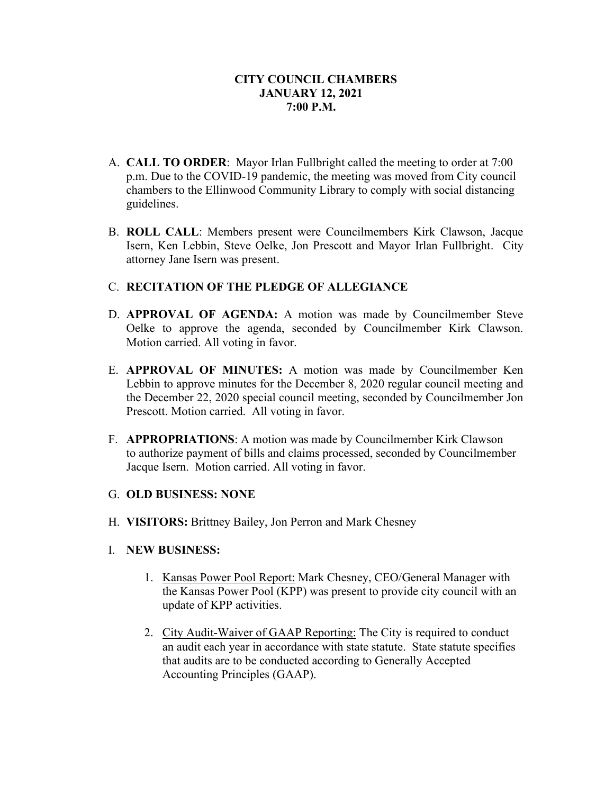- A. **CALL TO ORDER**: Mayor Irlan Fullbright called the meeting to order at 7:00 p.m. Due to the COVID-19 pandemic, the meeting was moved from City council chambers to the Ellinwood Community Library to comply with social distancing guidelines.
- B. **ROLL CALL**: Members present were Councilmembers Kirk Clawson, Jacque Isern, Ken Lebbin, Steve Oelke, Jon Prescott and Mayor Irlan Fullbright. City attorney Jane Isern was present.

## C. **RECITATION OF THE PLEDGE OF ALLEGIANCE**

- D. **APPROVAL OF AGENDA:** A motion was made by Councilmember Steve Oelke to approve the agenda, seconded by Councilmember Kirk Clawson. Motion carried. All voting in favor.
- E. **APPROVAL OF MINUTES:** A motion was made by Councilmember Ken Lebbin to approve minutes for the December 8, 2020 regular council meeting and the December 22, 2020 special council meeting, seconded by Councilmember Jon Prescott. Motion carried. All voting in favor.
- F. **APPROPRIATIONS**: A motion was made by Councilmember Kirk Clawson to authorize payment of bills and claims processed, seconded by Councilmember Jacque Isern. Motion carried. All voting in favor.

# G. **OLD BUSINESS: NONE**

H. **VISITORS:** Brittney Bailey, Jon Perron and Mark Chesney

#### I. **NEW BUSINESS:**

- 1. Kansas Power Pool Report: Mark Chesney, CEO/General Manager with the Kansas Power Pool (KPP) was present to provide city council with an update of KPP activities.
- 2. City Audit-Waiver of GAAP Reporting: The City is required to conduct an audit each year in accordance with state statute. State statute specifies that audits are to be conducted according to Generally Accepted Accounting Principles (GAAP).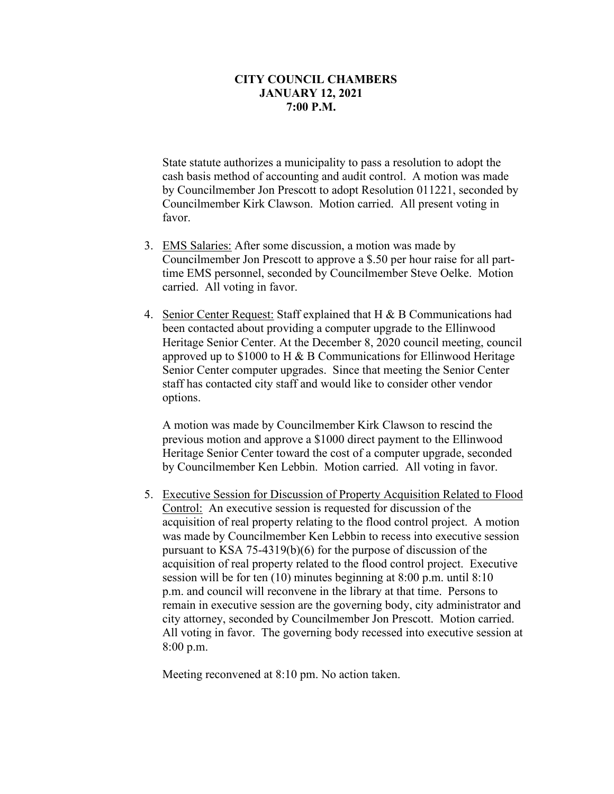State statute authorizes a municipality to pass a resolution to adopt the cash basis method of accounting and audit control. A motion was made by Councilmember Jon Prescott to adopt Resolution 011221, seconded by Councilmember Kirk Clawson. Motion carried. All present voting in favor.

- 3. EMS Salaries: After some discussion, a motion was made by Councilmember Jon Prescott to approve a \$.50 per hour raise for all parttime EMS personnel, seconded by Councilmember Steve Oelke. Motion carried. All voting in favor.
- 4. Senior Center Request: Staff explained that H & B Communications had been contacted about providing a computer upgrade to the Ellinwood Heritage Senior Center. At the December 8, 2020 council meeting, council approved up to \$1000 to H & B Communications for Ellinwood Heritage Senior Center computer upgrades. Since that meeting the Senior Center staff has contacted city staff and would like to consider other vendor options.

A motion was made by Councilmember Kirk Clawson to rescind the previous motion and approve a \$1000 direct payment to the Ellinwood Heritage Senior Center toward the cost of a computer upgrade, seconded by Councilmember Ken Lebbin. Motion carried. All voting in favor.

5. Executive Session for Discussion of Property Acquisition Related to Flood Control: An executive session is requested for discussion of the acquisition of real property relating to the flood control project. A motion was made by Councilmember Ken Lebbin to recess into executive session pursuant to KSA 75-4319(b)(6) for the purpose of discussion of the acquisition of real property related to the flood control project. Executive session will be for ten (10) minutes beginning at 8:00 p.m. until 8:10 p.m. and council will reconvene in the library at that time. Persons to remain in executive session are the governing body, city administrator and city attorney, seconded by Councilmember Jon Prescott. Motion carried. All voting in favor. The governing body recessed into executive session at 8:00 p.m.

Meeting reconvened at 8:10 pm. No action taken.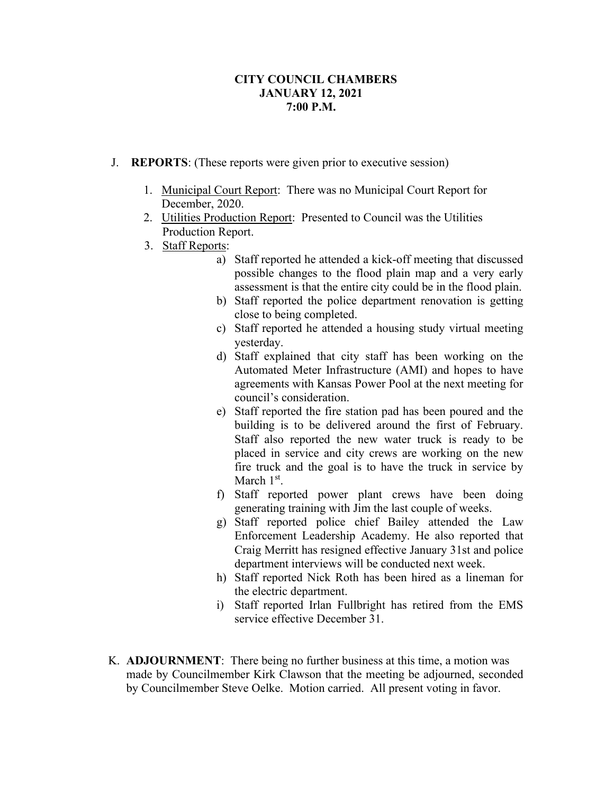- J. **REPORTS**: (These reports were given prior to executive session)
	- 1. Municipal Court Report: There was no Municipal Court Report for December, 2020.
	- 2. Utilities Production Report: Presented to Council was the Utilities Production Report.
	- 3. Staff Reports:
		- a) Staff reported he attended a kick-off meeting that discussed possible changes to the flood plain map and a very early assessment is that the entire city could be in the flood plain.
		- b) Staff reported the police department renovation is getting close to being completed.
		- c) Staff reported he attended a housing study virtual meeting yesterday.
		- d) Staff explained that city staff has been working on the Automated Meter Infrastructure (AMI) and hopes to have agreements with Kansas Power Pool at the next meeting for council's consideration.
		- e) Staff reported the fire station pad has been poured and the building is to be delivered around the first of February. Staff also reported the new water truck is ready to be placed in service and city crews are working on the new fire truck and the goal is to have the truck in service by March 1<sup>st</sup>.
		- f) Staff reported power plant crews have been doing generating training with Jim the last couple of weeks.
		- g) Staff reported police chief Bailey attended the Law Enforcement Leadership Academy. He also reported that Craig Merritt has resigned effective January 31st and police department interviews will be conducted next week.
		- h) Staff reported Nick Roth has been hired as a lineman for the electric department.
		- i) Staff reported Irlan Fullbright has retired from the EMS service effective December 31.
- K. **ADJOURNMENT**: There being no further business at this time, a motion was made by Councilmember Kirk Clawson that the meeting be adjourned, seconded by Councilmember Steve Oelke. Motion carried. All present voting in favor.